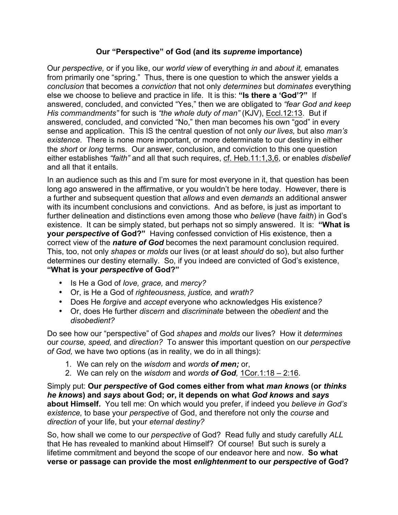## **Our "Perspective" of God (and its** *supreme* **importance)**

Our *perspective,* or if you like, our *world view* of everything *in* and *about it,* emanates from primarily one "spring." Thus, there is one question to which the answer yields a *conclusion* that becomes a *conviction* that not only *determines* but *dominates* everything else we choose to believe and practice in life. It is this: **"Is there a 'God'?"** If answered, concluded, and convicted "Yes," then we are obligated to *"fear God and keep His commandments"* for such is *"the whole duty of man"* (KJV), Eccl.12:13. But if answered, concluded, and convicted "No," then man becomes his own "god" in every sense and application. This IS the central question of not only *our lives,* but also *man's existence.* There is none more important, or more determinate to our destiny in either the *short* or *long* terms. Our answer, conclusion, and conviction to this one question either establishes *"faith"* and all that such requires, cf. Heb.11:1,3,6, or enables *disbelief*  and all that it entails.

In an audience such as this and I'm sure for most everyone in it, that question has been long ago answered in the affirmative, or you wouldn't be here today. However, there is a further and subsequent question that *allows* and even *demands* an additional answer with its incumbent conclusions and convictions. And as before, is just as important to further delineation and distinctions even among those who *believe* (have *faith*) in God's existence. It can be simply stated, but perhaps not so simply answered. It is: **"What is your** *perspective* **of God?"** Having confessed conviction of His existence, then a correct view of the *nature of God* becomes the next paramount conclusion required. This, too, not only *shapes* or *molds* our lives (or at least *should* do so), but also further determines our destiny eternally. So, if you indeed are convicted of God's existence, **"What is your** *perspective* **of God?"**

- Is He a God of *love, grace,* and *mercy?*
- Or, is He a God of *righteousness, justice,* and *wrath?*
- Does He *forgive* and *accept* everyone who acknowledges His existence*?*
- Or, does He further *discern* and *discriminate* between the *obedient* and the *disobedient?*

Do see how our "perspective" of God *shapes* and *molds* our lives? How it *determines*  our *course, speed,* and *direction?* To answer this important question on our *perspective of God,* we have two options (as in reality, we do in all things):

- 1. We can rely on the *wisdom* and *words of men;* or,
- 2. We can rely on the *wisdom* and *words of God,* 1Cor.1:18 2:16.

Simply put: **Our** *perspective* **of God comes either from what** *man knows* **(or** *thinks he knows***) and** *says* **about God; or, it depends on what** *God knows* **and** *says*  **about Himself.** You tell me: On which would you prefer, if indeed you *believe in God's existence,* to base your *perspective* of God, and therefore not only the *course* and *direction* of your life, but your *eternal destiny?* 

So, how shall we come to our *perspective* of God? Read fully and study carefully *ALL*  that He has revealed to mankind about Himself? Of course! But such is surely a lifetime commitment and beyond the scope of our endeavor here and now. **So what verse or passage can provide the most** *enlightenment* **to our** *perspective* **of God?**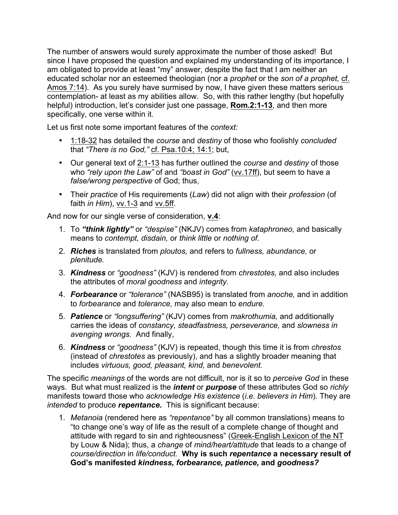The number of answers would surely approximate the number of those asked! But since I have proposed the question and explained my understanding of its importance, I am obligated to provide at least "my" answer, despite the fact that I am neither an educated scholar nor an esteemed theologian (nor a *prophet* or the *son of a prophet,* cf. Amos 7:14). As you surely have surmised by now, I have given these matters serious contemplation- at least as my abilities allow. So, with this rather lengthy (but hopefully helpful) introduction, let's consider just one passage, **Rom.2:1-13**, and then more specifically, one verse within it.

Let us first note some important features of the *context:* 

- 1:18-32 has detailed the *course* and *destiny* of those who foolishly *concluded*  that *"There is no God,"* cf. Psa.10:4; 14:1; but,
- Our general text of 2:1-13 has further outlined the *course* and *destiny* of those who *"rely upon the Law"* of and *"boast in God"* (vv.17ff), but seem to have a *false/wrong perspective* of God; thus,
- Their *practice* of His requirements (*Law*) did not align with their *profession* (of faith *in Him*), vv.1-3 and vv.5ff.

And now for our single verse of consideration, **v.4**:

- 1. To *"think lightly"* or *"despise"* (NKJV) comes from *kataphroneo,* and basically means to *contempt, disdain,* or *think little* or *nothing of.*
- 2. *Riches* is translated from *ploutos,* and refers to *fullness, abundance,* or *plenitude.*
- 3. *Kindness* or *"goodness"* (KJV) is rendered from *chrestotes,* and also includes the attributes of *moral goodness* and *integrity.*
- 4. *Forbearance* or *"tolerance"* (NASB95) is translated from *anoche,* and in addition to *forbearance* and *tolerance,* may also mean to *endure.*
- 5. *Patience* or *"longsuffering"* (KJV) comes from *makrothumia,* and additionally carries the ideas of *constancy, steadfastness, perseverance,* and *slowness in avenging wrongs.* And finally,
- 6. *Kindness* or *"goodness"* (KJV) is repeated, though this time it is from *chrestos*  (instead of *chrestotes* as previously), and has a slightly broader meaning that includes *virtuous, good, pleasant, kind,* and *benevolent.*

The specific *meanings* of the words are not difficult, nor is it so to *perceive God* in these ways. But what must realized is the *intent* or *purpose* of these attributes God so *richly*  manifests toward those who *acknowledge His existence* (*i.e. believers in Him*). They are *intended* to produce *repentance.* This is significant because:

1. *Metanoia* (rendered here as *"repentance"* by all common translations) means to "to change one's way of life as the result of a complete change of thought and attitude with regard to sin and righteousness" (Greek-English Lexicon of the NT by Louw & Nida); thus, a *change* of *mind/heart/attitude* that leads to a change of *course/direction* in *life/conduct.* **Why is such** *repentance* **a necessary result of God's manifested** *kindness, forbearance, patience,* **and** *goodness?*